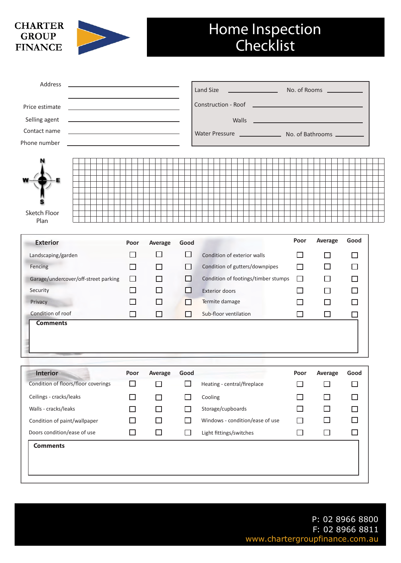## **CHARTER GROUP FINANCE**



## Home Inspection **Checklist**

| Address<br><u> 1989 - Johann Stoff, amerikansk politiker (</u>                             |              |                   |              | Land Size                                            |        | No. of Rooms      |              |  |
|--------------------------------------------------------------------------------------------|--------------|-------------------|--------------|------------------------------------------------------|--------|-------------------|--------------|--|
| Price estimate<br><u> 1980 - Johann Barn, mars an t-Amerikaansk ferskeider (</u>           |              |                   |              |                                                      |        |                   |              |  |
| Selling agent<br><u> 1989 - Johann Stein, mars an de Frankrik (f. 1989)</u>                |              |                   |              | Walls<br><u> 1990 - John Harrison, mars et al. (</u> |        |                   |              |  |
| Contact name<br><u> 1989 - Johann Barbara, martxa alemaniar a</u>                          |              |                   |              |                                                      |        |                   |              |  |
| Phone number<br>the control of the control of the control of the control of the control of |              |                   |              |                                                      |        |                   |              |  |
|                                                                                            |              |                   |              |                                                      |        |                   |              |  |
|                                                                                            |              |                   |              |                                                      |        |                   |              |  |
| Sketch Floor<br>Plan                                                                       |              |                   |              |                                                      |        |                   |              |  |
| <b>Exterior</b>                                                                            | Poor         | Average           | Good         |                                                      | Poor   | Average           | Good         |  |
| Landscaping/garden                                                                         | ΙI           | ΙI                | □            | Condition of exterior walls                          | ΙI     | l I               | $\Box$       |  |
| Fencing                                                                                    | П            | ΙI                | ΙI           | Condition of gutters/downpipes                       | П      | □                 | □            |  |
| Garage/undercover/off-street parking                                                       | □            |                   | ΙI           | Condition of footings/timber stumps                  | $\Box$ | $\mathsf{L}$      | □            |  |
| Security                                                                                   | ΙI           | ΙI                | H            | <b>Exterior doors</b>                                |        | $\Box$            | □            |  |
| Privacy                                                                                    | ΙI           |                   | ΙI           | Termite damage                                       |        | ΙI                | $\mathsf{L}$ |  |
| Condition of roof                                                                          | □            | □                 | ΙI           | Sub-floor ventilation                                | П      | □                 | $\Box$       |  |
| <b>Comments</b>                                                                            |              |                   |              |                                                      |        |                   |              |  |
| Interior                                                                                   |              | Poor Average Good |              |                                                      |        | Poor Average Good |              |  |
| Condition of floors/floor coverings                                                        | □            | ΙI                | □            | Heating - central/fireplace                          | П      | ΙI                | □            |  |
| Ceilings - cracks/leaks                                                                    | $\Box$       |                   | П            | Cooling                                              |        | $\Box$            | □            |  |
| Walls - cracks/leaks                                                                       | ٦            |                   | H            | Storage/cupboards                                    |        | $\Box$            | □            |  |
| Condition of paint/wallpaper                                                               | $\mathbf{I}$ |                   | $\mathsf{L}$ | Windows - condition/ease of use                      |        | $\Box$            | □            |  |
| Doors condition/ease of use                                                                | ⊔            | $\Box$            | □            | Light fittings/switches                              | □      | $\Box$            | $\Box$       |  |
| <b>Comments</b>                                                                            |              |                   |              |                                                      |        |                   |              |  |